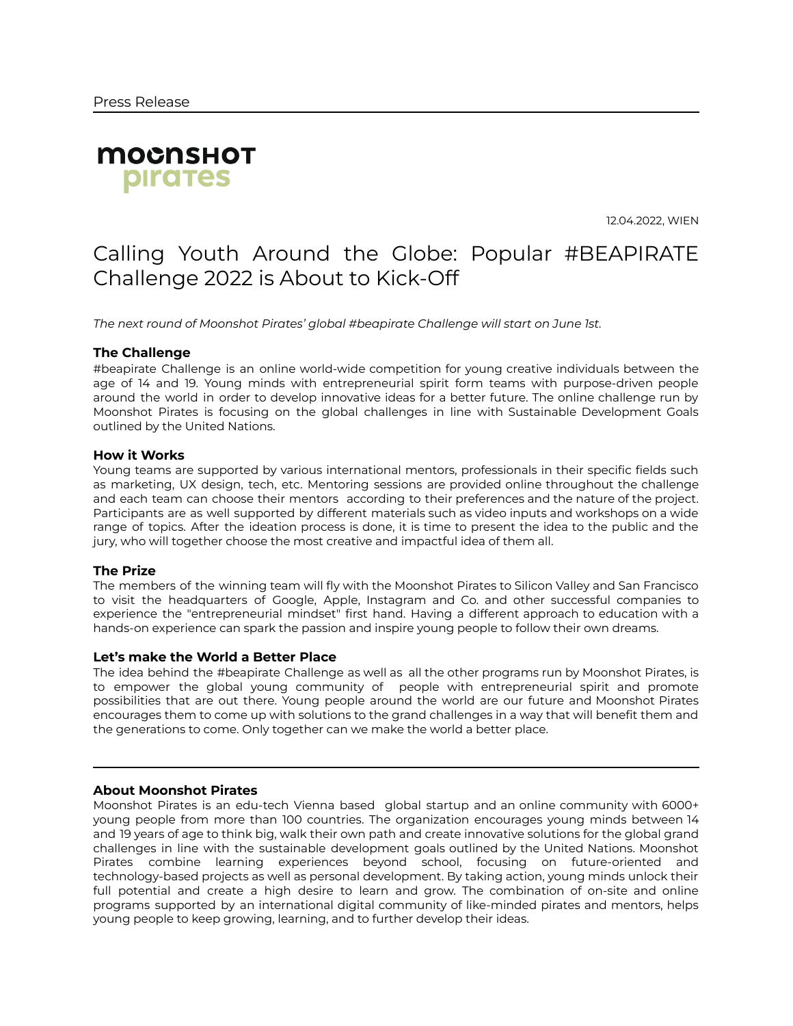

12.04.2022, WIEN

# Calling Youth Around the Globe: Popular #BEAPIRATE Challenge 2022 is About to Kick-Off

*The next round of Moonshot Pirates' global #beapirate Challenge will start on June 1st.*

# **The Challenge**

#beapirate Challenge is an online world-wide competition for young creative individuals between the age of 14 and 19. Young minds with entrepreneurial spirit form teams with purpose-driven people around the world in order to develop innovative ideas for a better future. The online challenge run by Moonshot Pirates is focusing on the global challenges in line with Sustainable Development Goals outlined by the United Nations.

## **How it Works**

Young teams are supported by various international mentors, professionals in their specific fields such as marketing, UX design, tech, etc. Mentoring sessions are provided online throughout the challenge and each team can choose their mentors according to their preferences and the nature of the project. Participants are as well supported by different materials such as video inputs and workshops on a wide range of topics. After the ideation process is done, it is time to present the idea to the public and the jury, who will together choose the most creative and impactful idea of them all.

# **The Prize**

The members of the winning team will fly with the Moonshot Pirates to Silicon Valley and San Francisco to visit the headquarters of Google, Apple, Instagram and Co. and other successful companies to experience the "entrepreneurial mindset" first hand. Having a different approach to education with a hands-on experience can spark the passion and inspire young people to follow their own dreams.

## **Let's make the World a Better Place**

The idea behind the #beapirate Challenge as well as all the other programs run by Moonshot Pirates, is to empower the global young community of people with entrepreneurial spirit and promote possibilities that are out there. Young people around the world are our future and Moonshot Pirates encourages them to come up with solutions to the grand challenges in a way that will benefit them and the generations to come. Only together can we make the world a better place.

## **About Moonshot Pirates**

Moonshot Pirates is an edu-tech Vienna based global startup and an online community with 6000+ young people from more than 100 countries. The organization encourages young minds between 14 and 19 years of age to think big, walk their own path and create innovative solutions for the global grand challenges in line with the sustainable development goals outlined by the United Nations. Moonshot Pirates combine learning experiences beyond school, focusing on future-oriented and technology-based projects as well as personal development. By taking action, young minds unlock their full potential and create a high desire to learn and grow. The combination of on-site and online programs supported by an international digital community of like-minded pirates and mentors, helps young people to keep growing, learning, and to further develop their ideas.